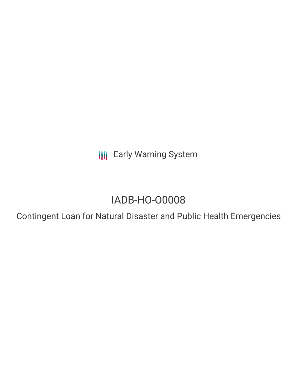**III** Early Warning System

# IADB-HO-O0008

Contingent Loan for Natural Disaster and Public Health Emergencies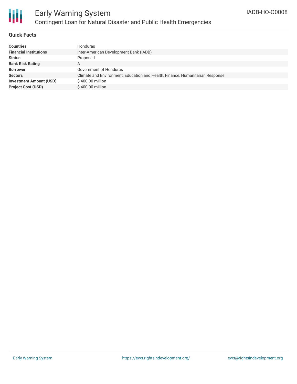

## **Quick Facts**

| <b>Countries</b>               | <b>Honduras</b>                                                               |
|--------------------------------|-------------------------------------------------------------------------------|
| <b>Financial Institutions</b>  | Inter-American Development Bank (IADB)                                        |
| <b>Status</b>                  | Proposed                                                                      |
| <b>Bank Risk Rating</b>        | A                                                                             |
| <b>Borrower</b>                | Government of Honduras                                                        |
| <b>Sectors</b>                 | Climate and Environment, Education and Health, Finance, Humanitarian Response |
| <b>Investment Amount (USD)</b> | \$400.00 million                                                              |
| <b>Project Cost (USD)</b>      | $$400.00$ million                                                             |
|                                |                                                                               |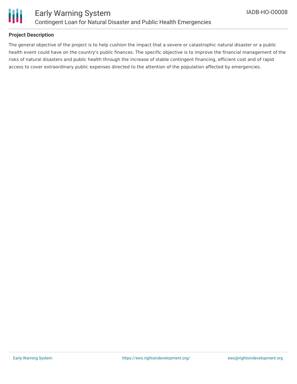

# **Project Description**

The general objective of the project is to help cushion the impact that a severe or catastrophic natural disaster or a public health event could have on the country's public finances. The specific objective is to improve the financial management of the risks of natural disasters and public health through the increase of stable contingent financing, efficient cost and of rapid access to cover extraordinary public expenses directed to the attention of the population affected by emergencies.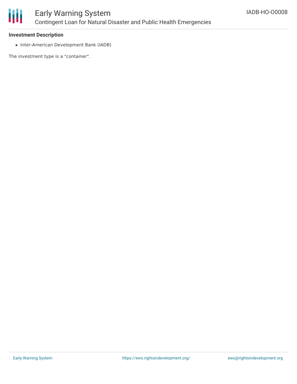

## **Investment Description**

• Inter-American Development Bank (IADB)

The investment type is a "container".